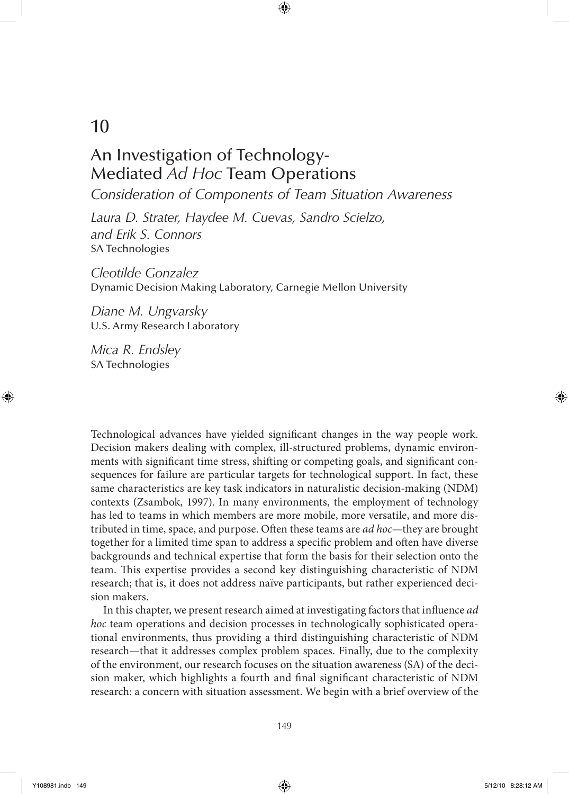# 10

# An Investigation of Technology-Mediated *Ad Hoc* Team Operations

*Consideration of Components of Team Situation Awareness*

⊕

*Laura D. Strater, Haydee M. Cuevas, Sandro Scielzo, and Erik S. Connors* SA Technologies

*Cleotilde Gonzalez* Dynamic Decision Making Laboratory, Carnegie Mellon University

*Diane M. Ungvarsky* U.S. Army Research Laboratory

*Mica R. Endsley* SA Technologies

Technological advances have yielded significant changes in the way people work. Decision makers dealing with complex, ill-structured problems, dynamic environments with significant time stress, shifting or competing goals, and significant consequences for failure are particular targets for technological support. In fact, these same characteristics are key task indicators in naturalistic decision-making (NDM) contexts (Zsambok, 1997). In many environments, the employment of technology has led to teams in which members are more mobile, more versatile, and more distributed in time, space, and purpose. Often these teams are *ad hoc*—they are brought together for a limited time span to address a specific problem and often have diverse backgrounds and technical expertise that form the basis for their selection onto the team. This expertise provides a second key distinguishing characteristic of NDM research; that is, it does not address naïve participants, but rather experienced decision makers.

In this chapter, we present research aimed at investigating factors that influence *ad hoc* team operations and decision processes in technologically sophisticated operational environments, thus providing a third distinguishing characteristic of NDM research—that it addresses complex problem spaces. Finally, due to the complexity of the environment, our research focuses on the situation awareness (SA) of the decision maker, which highlights a fourth and final significant characteristic of NDM research: a concern with situation assessment. We begin with a brief overview of the

⊕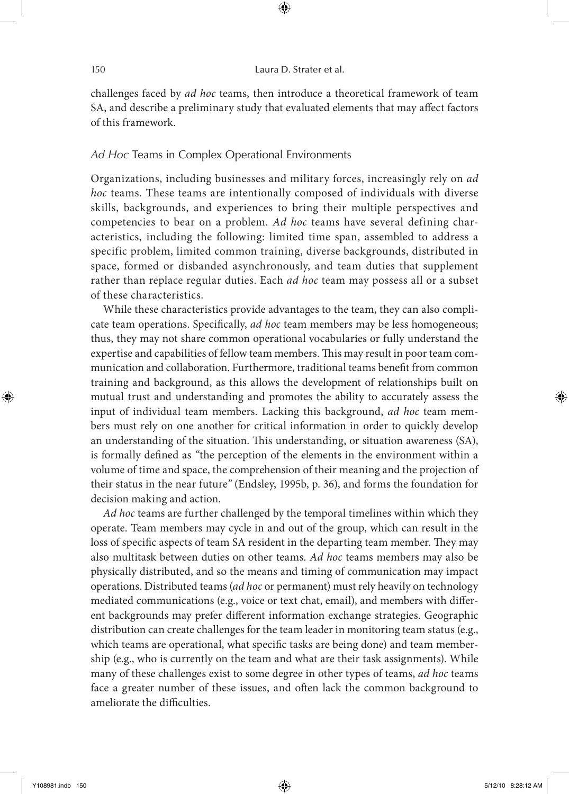challenges faced by *ad hoc* teams, then introduce a theoretical framework of team SA, and describe a preliminary study that evaluated elements that may affect factors of this framework.

 $\textcircled{\scriptsize{+}}$ 

## *Ad Hoc* Teams in Complex Operational Environments

Organizations, including businesses and military forces, increasingly rely on *ad hoc* teams. These teams are intentionally composed of individuals with diverse skills, backgrounds, and experiences to bring their multiple perspectives and competencies to bear on a problem. *Ad hoc* teams have several defining characteristics, including the following: limited time span, assembled to address a specific problem, limited common training, diverse backgrounds, distributed in space, formed or disbanded asynchronously, and team duties that supplement rather than replace regular duties. Each *ad hoc* team may possess all or a subset of these characteristics.

While these characteristics provide advantages to the team, they can also complicate team operations. Specifically, *ad hoc* team members may be less homogeneous; thus, they may not share common operational vocabularies or fully understand the expertise and capabilities of fellow team members. This may result in poor team communication and collaboration. Furthermore, traditional teams benefit from common training and background, as this allows the development of relationships built on mutual trust and understanding and promotes the ability to accurately assess the input of individual team members. Lacking this background, *ad hoc* team members must rely on one another for critical information in order to quickly develop an understanding of the situation. This understanding, or situation awareness (SA), is formally defined as *"*the perception of the elements in the environment within a volume of time and space, the comprehension of their meaning and the projection of their status in the near future*"* (Endsley, 1995b, p. 36), and forms the foundation for decision making and action.

*Ad hoc* teams are further challenged by the temporal timelines within which they operate. Team members may cycle in and out of the group, which can result in the loss of specific aspects of team SA resident in the departing team member. They may also multitask between duties on other teams. *Ad hoc* teams members may also be physically distributed, and so the means and timing of communication may impact operations. Distributed teams (*ad hoc* or permanent) must rely heavily on technology mediated communications (e.g., voice or text chat, email), and members with different backgrounds may prefer different information exchange strategies. Geographic distribution can create challenges for the team leader in monitoring team status (e.g., which teams are operational, what specific tasks are being done) and team membership (e.g., who is currently on the team and what are their task assignments). While many of these challenges exist to some degree in other types of teams, *ad hoc* teams face a greater number of these issues, and often lack the common background to ameliorate the difficulties.

⊕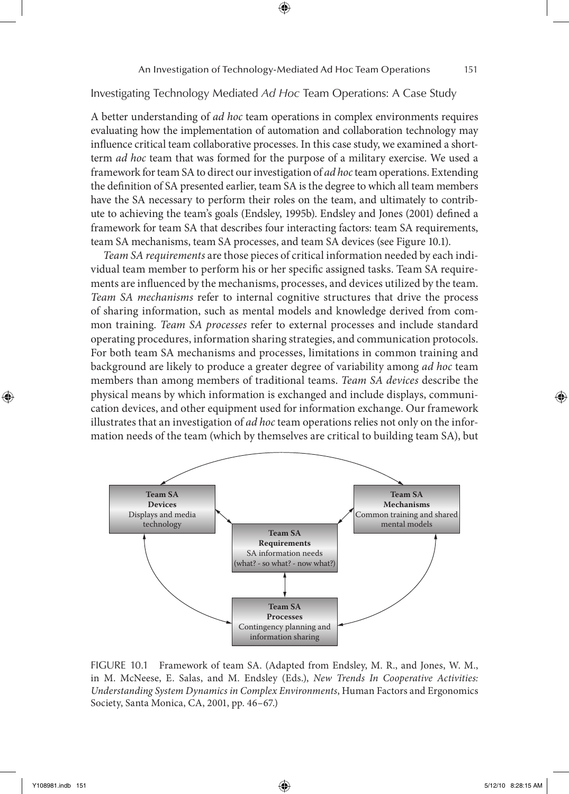Investigating Technology Mediated *Ad Hoc* Team Operations: A Case Study

A better understanding of *ad hoc* team operations in complex environments requires evaluating how the implementation of automation and collaboration technology may influence critical team collaborative processes. In this case study, we examined a shortterm *ad hoc* team that was formed for the purpose of a military exercise. We used a framework for team SA to direct our investigation of *ad hoc* team operations. Extending the definition of SA presented earlier, team SA is the degree to which all team members have the SA necessary to perform their roles on the team, and ultimately to contribute to achieving the team's goals (Endsley, 1995b). Endsley and Jones (2001) defined a framework for team SA that describes four interacting factors: team SA requirements, team SA mechanisms, team SA processes, and team SA devices (see Figure 10.1).

*Team SA requirements* are those pieces of critical information needed by each individual team member to perform his or her specific assigned tasks. Team SA requirements are influenced by the mechanisms, processes, and devices utilized by the team. *Team SA mechanisms* refer to internal cognitive structures that drive the process of sharing information, such as mental models and knowledge derived from common training. *Team SA processes* refer to external processes and include standard operating procedures, information sharing strategies, and communication protocols. For both team SA mechanisms and processes, limitations in common training and background are likely to produce a greater degree of variability among *ad hoc* team members than among members of traditional teams. *Team SA devices* describe the physical means by which information is exchanged and include displays, communication devices, and other equipment used for information exchange. Our framework illustrates that an investigation of *ad hoc* team operations relies not only on the information needs of the team (which by themselves are critical to building team SA), but



FIGURE 10.1 Framework of team SA. (Adapted from Endsley, M. R., and Jones, W. M., in M. McNeese, E. Salas, and M. Endsley (Eds.), *New Trends In Cooperative Activities: Understanding System Dynamics in Complex Environments*, Human Factors and Ergonomics Society, Santa Monica, CA, 2001, pp. 46–67.)

⊕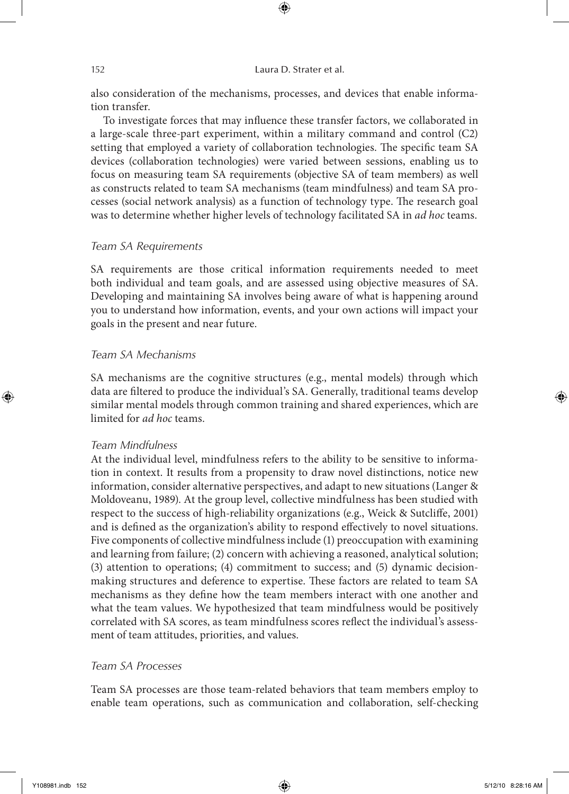also consideration of the mechanisms, processes, and devices that enable information transfer.

⊕

To investigate forces that may influence these transfer factors, we collaborated in a large-scale three-part experiment, within a military command and control (C2) setting that employed a variety of collaboration technologies. The specific team SA devices (collaboration technologies) were varied between sessions, enabling us to focus on measuring team SA requirements (objective SA of team members) as well as constructs related to team SA mechanisms (team mindfulness) and team SA processes (social network analysis) as a function of technology type. The research goal was to determine whether higher levels of technology facilitated SA in *ad hoc* teams.

# *Team SA Requirements*

SA requirements are those critical information requirements needed to meet both individual and team goals, and are assessed using objective measures of SA. Developing and maintaining SA involves being aware of what is happening around you to understand how information, events, and your own actions will impact your goals in the present and near future.

## *Team SA Mechanisms*

SA mechanisms are the cognitive structures (e.g., mental models) through which data are filtered to produce the individual's SA. Generally, traditional teams develop similar mental models through common training and shared experiences, which are limited for *ad hoc* teams.

# *Team Mindfulness*

At the individual level, mindfulness refers to the ability to be sensitive to information in context. It results from a propensity to draw novel distinctions, notice new information, consider alternative perspectives, and adapt to new situations (Langer & Moldoveanu, 1989). At the group level, collective mindfulness has been studied with respect to the success of high-reliability organizations (e.g., Weick & Sutcliffe, 2001) and is defined as the organization's ability to respond effectively to novel situations. Five components of collective mindfulness include (1) preoccupation with examining and learning from failure; (2) concern with achieving a reasoned, analytical solution; (3) attention to operations; (4) commitment to success; and (5) dynamic decisionmaking structures and deference to expertise. These factors are related to team SA mechanisms as they define how the team members interact with one another and what the team values. We hypothesized that team mindfulness would be positively correlated with SA scores, as team mindfulness scores reflect the individual's assessment of team attitudes, priorities, and values.

# *Team SA Processes*

Team SA processes are those team-related behaviors that team members employ to enable team operations, such as communication and collaboration, self-checking

⊕

↔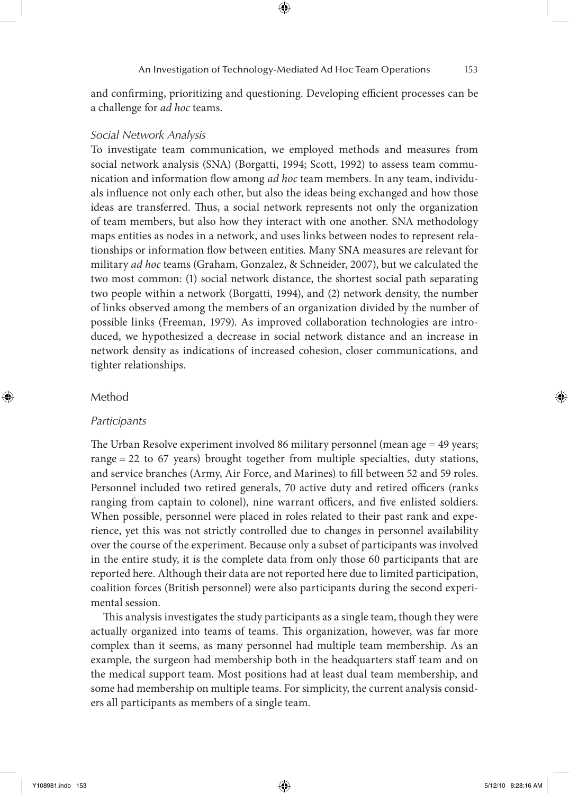and confirming, prioritizing and questioning. Developing efficient processes can be a challenge for *ad hoc* teams.

# *Social Network Analysis*

To investigate team communication, we employed methods and measures from social network analysis (SNA) (Borgatti, 1994; Scott, 1992) to assess team communication and information flow among *ad hoc* team members. In any team, individuals influence not only each other, but also the ideas being exchanged and how those ideas are transferred. Thus, a social network represents not only the organization of team members, but also how they interact with one another. SNA methodology maps entities as nodes in a network, and uses links between nodes to represent relationships or information flow between entities. Many SNA measures are relevant for military *ad hoc* teams (Graham, Gonzalez, & Schneider, 2007), but we calculated the two most common: (1) social network distance, the shortest social path separating two people within a network (Borgatti, 1994), and (2) network density, the number of links observed among the members of an organization divided by the number of possible links (Freeman, 1979). As improved collaboration technologies are introduced, we hypothesized a decrease in social network distance and an increase in network density as indications of increased cohesion, closer communications, and tighter relationships.

## Method

⊕

### *Participants*

The Urban Resolve experiment involved 86 military personnel (mean age = 49 years; range = 22 to 67 years) brought together from multiple specialties, duty stations, and service branches (Army, Air Force, and Marines) to fill between 52 and 59 roles. Personnel included two retired generals, 70 active duty and retired officers (ranks ranging from captain to colonel), nine warrant officers, and five enlisted soldiers. When possible, personnel were placed in roles related to their past rank and experience, yet this was not strictly controlled due to changes in personnel availability over the course of the experiment. Because only a subset of participants was involved in the entire study, it is the complete data from only those 60 participants that are reported here. Although their data are not reported here due to limited participation, coalition forces (British personnel) were also participants during the second experimental session.

This analysis investigates the study participants as a single team, though they were actually organized into teams of teams. This organization, however, was far more complex than it seems, as many personnel had multiple team membership. As an example, the surgeon had membership both in the headquarters staff team and on the medical support team. Most positions had at least dual team membership, and some had membership on multiple teams. For simplicity, the current analysis considers all participants as members of a single team.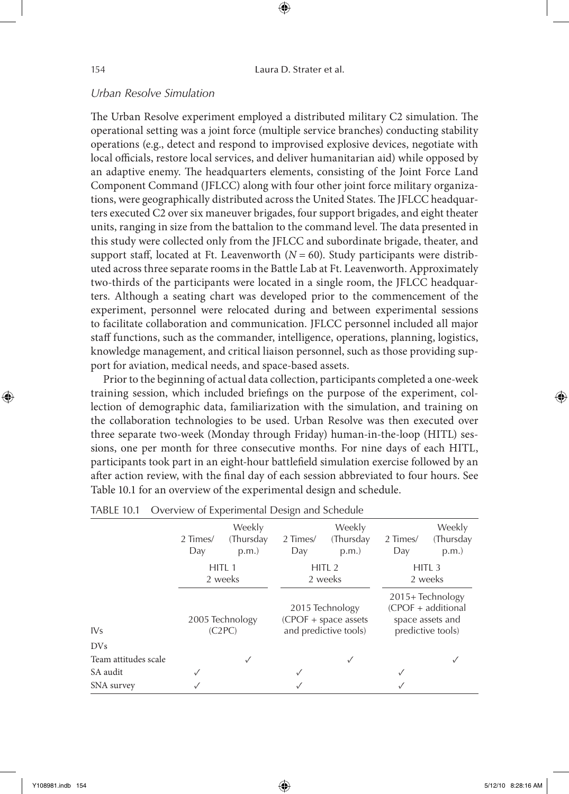$\textcircled{\scriptsize{+}}$ 

# *Urban Resolve Simulation*

The Urban Resolve experiment employed a distributed military C2 simulation. The operational setting was a joint force (multiple service branches) conducting stability operations (e.g., detect and respond to improvised explosive devices, negotiate with local officials, restore local services, and deliver humanitarian aid) while opposed by an adaptive enemy. The headquarters elements, consisting of the Joint Force Land Component Command (JFLCC) along with four other joint force military organizations, were geographically distributed across the United States. The JFLCC headquarters executed C2 over six maneuver brigades, four support brigades, and eight theater units, ranging in size from the battalion to the command level. The data presented in this study were collected only from the JFLCC and subordinate brigade, theater, and support staff, located at Ft. Leavenworth  $(N = 60)$ . Study participants were distributed across three separate rooms in the Battle Lab at Ft. Leavenworth. Approximately two-thirds of the participants were located in a single room, the JFLCC headquarters. Although a seating chart was developed prior to the commencement of the experiment, personnel were relocated during and between experimental sessions to facilitate collaboration and communication. JFLCC personnel included all major staff functions, such as the commander, intelligence, operations, planning, logistics, knowledge management, and critical liaison personnel, such as those providing support for aviation, medical needs, and space-based assets.

Prior to the beginning of actual data collection, participants completed a one-week training session, which included briefings on the purpose of the experiment, collection of demographic data, familiarization with the simulation, and training on the collaboration technologies to be used. Urban Resolve was then executed over three separate two-week (Monday through Friday) human-in-the-loop (HITL) sessions, one per month for three consecutive months. For nine days of each HITL, participants took part in an eight-hour battlefield simulation exercise followed by an after action review, with the final day of each session abbreviated to four hours. See Table 10.1 for an overview of the experimental design and schedule.

| mber form overview or experimental besign and sendance |                 |                              |                 |                                                                    |                 |                                                                                  |
|--------------------------------------------------------|-----------------|------------------------------|-----------------|--------------------------------------------------------------------|-----------------|----------------------------------------------------------------------------------|
|                                                        | 2 Times/<br>Day | Weekly<br>(Thursday<br>p.m.  | 2 Times/<br>Day | Weekly<br>(Thursday<br>p.m.                                        | 2 Times/<br>Day | Weekly<br>(Thursday<br>p.m.                                                      |
|                                                        |                 | HITL <sub>1</sub><br>2 weeks |                 | HITL <sub>2</sub><br>2 weeks                                       |                 | HITL <sub>3</sub><br>2 weeks                                                     |
| IV <sub>S</sub>                                        |                 | 2005 Technology<br>(C2PC)    |                 | 2015 Technology<br>$(CPOF + space assets$<br>and predictive tools) |                 | 2015+Technology<br>$(CPOF + additional$<br>space assets and<br>predictive tools) |
| <b>DVs</b>                                             |                 |                              |                 |                                                                    |                 |                                                                                  |
| Team attitudes scale                                   |                 | ✓                            |                 | √                                                                  |                 |                                                                                  |
| SA audit                                               |                 |                              | ✓               |                                                                    |                 |                                                                                  |
| SNA survey                                             |                 |                              |                 |                                                                    |                 |                                                                                  |

Table 10.1 Overview of Experimental Design and Schedule

⊕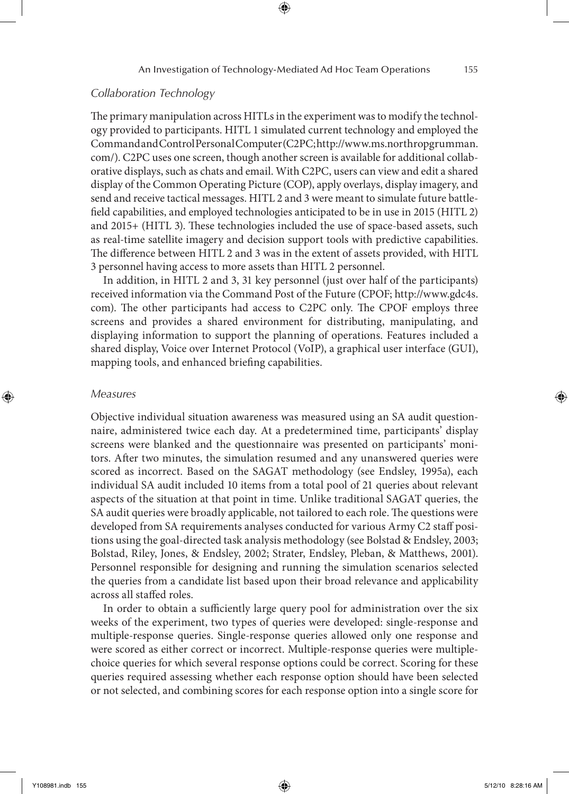# *Collaboration Technology*

The primary manipulation across HITLs in the experiment was to modify the technology provided to participants. HITL 1 simulated current technology and employed the Command and Control Personal Computer (C2PC; http://www.ms.northropgrumman. com/). C2PC uses one screen, though another screen is available for additional collaborative displays, such as chats and email. With C2PC, users can view and edit a shared display of the Common Operating Picture (COP), apply overlays, display imagery, and send and receive tactical messages. HITL 2 and 3 were meant to simulate future battlefield capabilities, and employed technologies anticipated to be in use in 2015 (HITL 2) and 2015+ (HITL 3). These technologies included the use of space-based assets, such as real-time satellite imagery and decision support tools with predictive capabilities. The difference between HITL 2 and 3 was in the extent of assets provided, with HITL 3 personnel having access to more assets than HITL 2 personnel.

In addition, in HITL 2 and 3, 31 key personnel (just over half of the participants) received information via the Command Post of the Future (CPOF; http://www.gdc4s. com). The other participants had access to C2PC only. The CPOF employs three screens and provides a shared environment for distributing, manipulating, and displaying information to support the planning of operations. Features included a shared display, Voice over Internet Protocol (VoIP), a graphical user interface (GUI), mapping tools, and enhanced briefing capabilities.

## *Measures*

⊕

Objective individual situation awareness was measured using an SA audit questionnaire, administered twice each day. At a predetermined time, participants' display screens were blanked and the questionnaire was presented on participants' monitors. After two minutes, the simulation resumed and any unanswered queries were scored as incorrect. Based on the SAGAT methodology (see Endsley, 1995a), each individual SA audit included 10 items from a total pool of 21 queries about relevant aspects of the situation at that point in time. Unlike traditional SAGAT queries, the SA audit queries were broadly applicable, not tailored to each role. The questions were developed from SA requirements analyses conducted for various Army C2 staff positions using the goal-directed task analysis methodology (see Bolstad & Endsley, 2003; Bolstad, Riley, Jones, & Endsley, 2002; Strater, Endsley, Pleban, & Matthews, 2001). Personnel responsible for designing and running the simulation scenarios selected the queries from a candidate list based upon their broad relevance and applicability across all staffed roles.

In order to obtain a sufficiently large query pool for administration over the six weeks of the experiment, two types of queries were developed: single-response and multiple-response queries. Single-response queries allowed only one response and were scored as either correct or incorrect. Multiple-response queries were multiplechoice queries for which several response options could be correct. Scoring for these queries required assessing whether each response option should have been selected or not selected, and combining scores for each response option into a single score for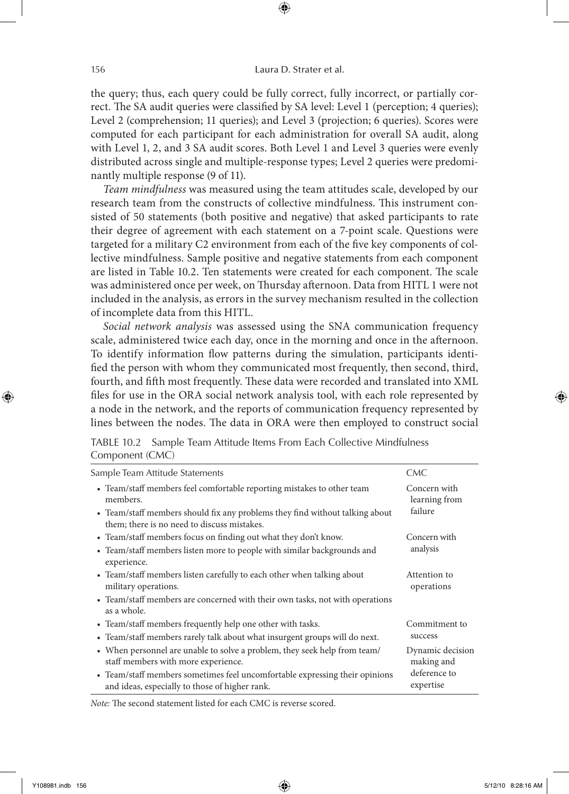the query; thus, each query could be fully correct, fully incorrect, or partially correct. The SA audit queries were classified by SA level: Level 1 (perception; 4 queries); Level 2 (comprehension; 11 queries); and Level 3 (projection; 6 queries). Scores were computed for each participant for each administration for overall SA audit, along with Level 1, 2, and 3 SA audit scores. Both Level 1 and Level 3 queries were evenly distributed across single and multiple-response types; Level 2 queries were predominantly multiple response (9 of 11).

⊕

*Team mindfulness* was measured using the team attitudes scale, developed by our research team from the constructs of collective mindfulness. This instrument consisted of 50 statements (both positive and negative) that asked participants to rate their degree of agreement with each statement on a 7-point scale. Questions were targeted for a military C2 environment from each of the five key components of collective mindfulness. Sample positive and negative statements from each component are listed in Table 10.2. Ten statements were created for each component. The scale was administered once per week, on Thursday afternoon. Data from HITL 1 were not included in the analysis, as errors in the survey mechanism resulted in the collection of incomplete data from this HITL.

*Social network analysis* was assessed using the SNA communication frequency scale, administered twice each day, once in the morning and once in the afternoon. To identify information flow patterns during the simulation, participants identified the person with whom they communicated most frequently, then second, third, fourth, and fifth most frequently. These data were recorded and translated into XML files for use in the ORA social network analysis tool, with each role represented by a node in the network, and the reports of communication frequency represented by lines between the nodes. The data in ORA were then employed to construct social

|                 | TABLE 10.2 Sample Team Attitude Items From Each Collective Mindfulness |
|-----------------|------------------------------------------------------------------------|
| Component (CMC) |                                                                        |

| Sample Team Attitude Statements                                                                                               | CMC.                           |
|-------------------------------------------------------------------------------------------------------------------------------|--------------------------------|
| • Team/staff members feel comfortable reporting mistakes to other team<br>members.                                            | Concern with<br>learning from  |
| • Team/staff members should fix any problems they find without talking about<br>them; there is no need to discuss mistakes.   | failure                        |
| • Team/staff members focus on finding out what they don't know.                                                               | Concern with                   |
| • Team/staff members listen more to people with similar backgrounds and<br>experience.                                        | analysis                       |
| • Team/staff members listen carefully to each other when talking about<br>military operations.                                | Attention to<br>operations     |
| • Team/staff members are concerned with their own tasks, not with operations<br>as a whole.                                   |                                |
| • Team/staff members frequently help one other with tasks.                                                                    | Commitment to                  |
| • Team/staff members rarely talk about what insurgent groups will do next.                                                    | success                        |
| • When personnel are unable to solve a problem, they seek help from team/<br>staff members with more experience.              | Dynamic decision<br>making and |
| • Team/staff members sometimes feel uncomfortable expressing their opinions<br>and ideas, especially to those of higher rank. | deference to<br>expertise      |

*Note:* The second statement listed for each CMC is reverse scored.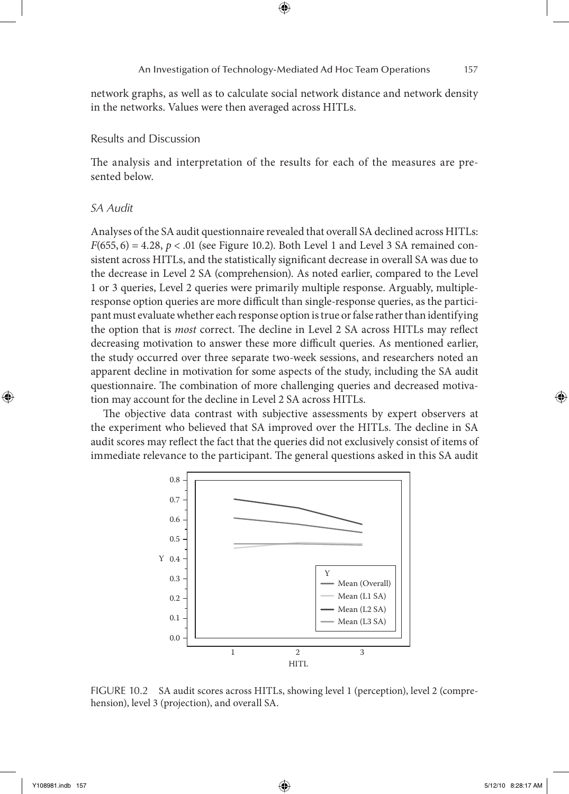### An Investigation of Technology-Mediated Ad Hoc Team Operations 157

network graphs, as well as to calculate social network distance and network density in the networks. Values were then averaged across HITLs.

⊕

# Results and Discussion

The analysis and interpretation of the results for each of the measures are presented below.

# *SA Audit*

Analyses of the SA audit questionnaire revealed that overall SA declined across HITLs:  $F(655, 6) = 4.28, p < .01$  (see Figure 10.2). Both Level 1 and Level 3 SA remained consistent across HITLs, and the statistically significant decrease in overall SA was due to the decrease in Level 2 SA (comprehension). As noted earlier, compared to the Level 1 or 3 queries, Level 2 queries were primarily multiple response. Arguably, multipleresponse option queries are more difficult than single-response queries, as the participant must evaluate whether each response option is true or false rather than identifying the option that is *most* correct. The decline in Level 2 SA across HITLs may reflect decreasing motivation to answer these more difficult queries. As mentioned earlier, the study occurred over three separate two-week sessions, and researchers noted an apparent decline in motivation for some aspects of the study, including the SA audit questionnaire. The combination of more challenging queries and decreased motivation may account for the decline in Level 2 SA across HITLs.

The objective data contrast with subjective assessments by expert observers at the experiment who believed that SA improved over the HITLs. The decline in SA audit scores may reflect the fact that the queries did not exclusively consist of items of immediate relevance to the participant. The general questions asked in this SA audit



FIGURE 10.2 SA audit scores across HITLs, showing level 1 (perception), level 2 (comprehension), level 3 (projection), and overall SA.

⊕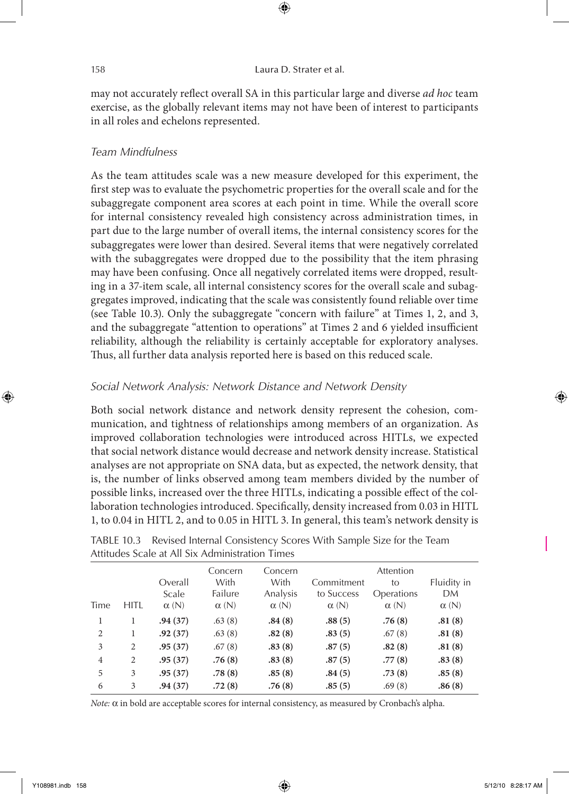may not accurately reflect overall SA in this particular large and diverse *ad hoc* team exercise, as the globally relevant items may not have been of interest to participants in all roles and echelons represented.

⊕

## *Team Mindfulness*

As the team attitudes scale was a new measure developed for this experiment, the first step was to evaluate the psychometric properties for the overall scale and for the subaggregate component area scores at each point in time. While the overall score for internal consistency revealed high consistency across administration times, in part due to the large number of overall items, the internal consistency scores for the subaggregates were lower than desired. Several items that were negatively correlated with the subaggregates were dropped due to the possibility that the item phrasing may have been confusing. Once all negatively correlated items were dropped, resulting in a 37-item scale, all internal consistency scores for the overall scale and subaggregates improved, indicating that the scale was consistently found reliable over time (see Table 10.3). Only the subaggregate "concern with failure" at Times 1, 2, and 3, and the subaggregate "attention to operations" at Times 2 and 6 yielded insufficient reliability, although the reliability is certainly acceptable for exploratory analyses. Thus, all further data analysis reported here is based on this reduced scale.

## *Social Network Analysis: Network Distance and Network Density*

Both social network distance and network density represent the cohesion, communication, and tightness of relationships among members of an organization. As improved collaboration technologies were introduced across HITLs, we expected that social network distance would decrease and network density increase. Statistical analyses are not appropriate on SNA data, but as expected, the network density, that is, the number of links observed among team members divided by the number of possible links, increased over the three HITLs, indicating a possible effect of the collaboration technologies introduced. Specifically, density increased from 0.03 in HITL 1, to 0.04 in HITL 2, and to 0.05 in HITL 3. In general, this team's network density is

|                |      |                  | Attitudes beaile at All bix Auffilitistiation Times |                             |                          |                               |                   |
|----------------|------|------------------|-----------------------------------------------------|-----------------------------|--------------------------|-------------------------------|-------------------|
|                |      | Overall<br>Scale | Concern<br>With<br>Failure                          | Concern<br>With<br>Analysis | Commitment<br>to Success | Attention<br>to<br>Operations | Fluidity in<br>DM |
| Time           | HITL | $\alpha(N)$      | $\alpha(N)$                                         | $\alpha(N)$                 | $\alpha(N)$              | $\alpha(N)$                   | $\alpha(N)$       |
| 1              | 1    | .94(37)          | .63(8)                                              | .84(8)                      | .88(5)                   | .76(8)                        | .81(8)            |
| 2              | 1    | .92(37)          | .63(8)                                              | .82(8)                      | .83(5)                   | .67(8)                        | .81(8)            |
| 3              | 2    | .95(37)          | .67(8)                                              | .83(8)                      | .87(5)                   | .82(8)                        | .81(8)            |
| $\overline{4}$ | 2    | .95(37)          | .76(8)                                              | .83(8)                      | .87(5)                   | .77(8)                        | .83(8)            |
| 5              | 3    | .95(37)          | .78(8)                                              | .85(8)                      | .84(5)                   | .73(8)                        | .85(8)            |
| 6              | 3    | .94(37)          | .72(8)                                              | .76(8)                      | .85(5)                   | .69(8)                        | .86(8)            |

Table 10.3 Revised Internal Consistency Scores With Sample Size for the Team Attitudes Scale at All Six Administration Times

*Note:* α in bold are acceptable scores for internal consistency, as measured by Cronbach's alpha.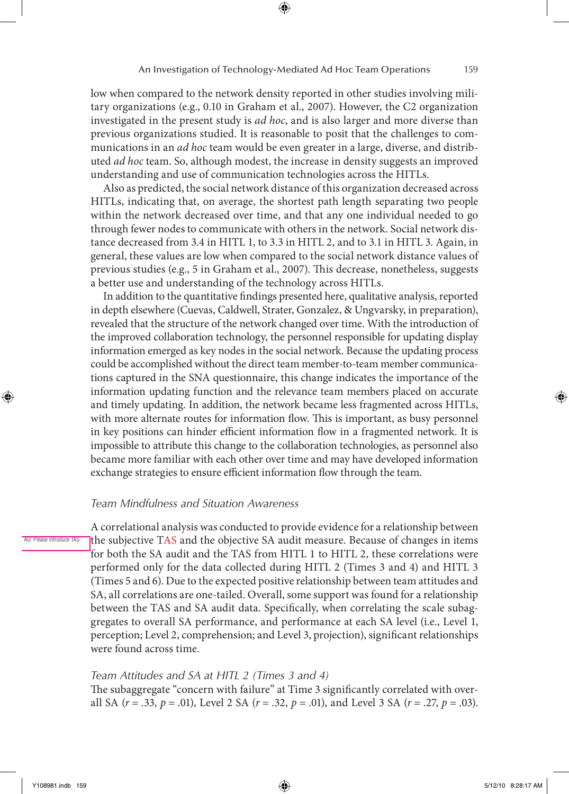low when compared to the network density reported in other studies involving military organizations (e.g., 0.10 in Graham et al., 2007). However, the C2 organization investigated in the present study is *ad hoc*, and is also larger and more diverse than previous organizations studied. It is reasonable to posit that the challenges to communications in an *ad hoc* team would be even greater in a large, diverse, and distributed *ad hoc* team. So, although modest, the increase in density suggests an improved understanding and use of communication technologies across the HITLs.

Also as predicted, the social network distance of this organization decreased across HITLs, indicating that, on average, the shortest path length separating two people within the network decreased over time, and that any one individual needed to go through fewer nodes to communicate with others in the network. Social network distance decreased from 3.4 in HITL 1, to 3.3 in HITL 2, and to 3.1 in HITL 3. Again, in general, these values are low when compared to the social network distance values of previous studies (e.g., 5 in Graham et al., 2007). This decrease, nonetheless, suggests a better use and understanding of the technology across HITLs.

In addition to the quantitative findings presented here, qualitative analysis, reported in depth elsewhere (Cuevas, Caldwell, Strater, Gonzalez, & Ungvarsky, in preparation), revealed that the structure of the network changed over time. With the introduction of the improved collaboration technology, the personnel responsible for updating display information emerged as key nodes in the social network. Because the updating process could be accomplished without the direct team member-to-team member communications captured in the SNA questionnaire, this change indicates the importance of the information updating function and the relevance team members placed on accurate and timely updating. In addition, the network became less fragmented across HITLs, with more alternate routes for information flow. This is important, as busy personnel in key positions can hinder efficient information flow in a fragmented network. It is impossible to attribute this change to the collaboration technologies, as personnel also became more familiar with each other over time and may have developed information exchange strategies to ensure efficient information flow through the team.

# *Team Mindfulness and Situation Awareness*

A correlational analysis was conducted to provide evidence for a relationship between the subjective TAS and the objective SA audit measure. Because of changes in items for both the SA audit and the TAS from HITL 1 to HITL 2, these correlations were performed only for the data collected during HITL 2 (Times 3 and 4) and HITL 3 (Times 5 and 6). Due to the expected positive relationship between team attitudes and SA, all correlations are one-tailed. Overall, some support was found for a relationship between the TAS and SA audit data. Specifically, when correlating the scale subaggregates to overall SA performance, and performance at each SA level (i.e., Level 1, perception; Level 2, comprehension; and Level 3, projection), significant relationships were found across time.

# *Team Attitudes and SA at HITL 2 (Times 3 and 4)*

The subaggregate "concern with failure" at Time 3 significantly correlated with overall SA (*r* = .33, *p* = .01), Level 2 SA (*r* = .32, *p* = .01), and Level 3 SA (*r* = .27, *p* = .03).

AU: Please introduce TAS.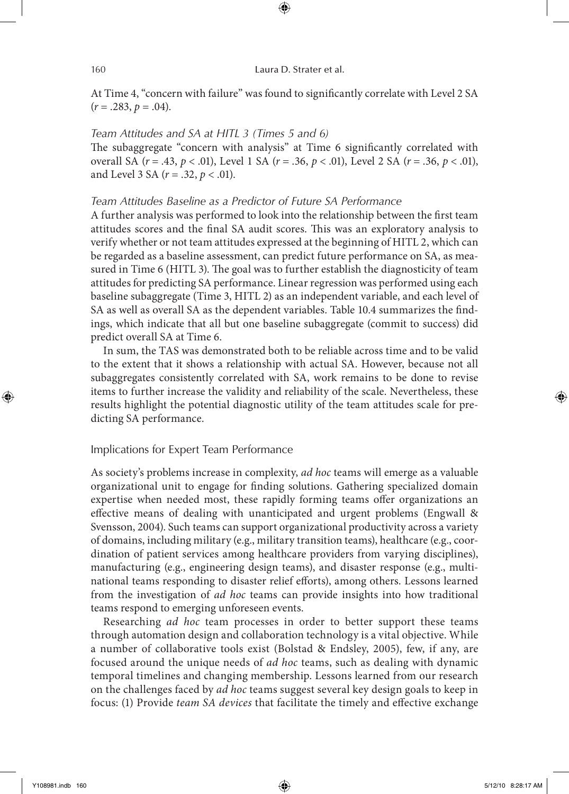At Time 4, "concern with failure" was found to significantly correlate with Level 2 SA  $(r = .283, p = .04)$ .

⊕

# *Team Attitudes and SA at HITL 3 (Times 5 and 6)*

The subaggregate "concern with analysis" at Time 6 significantly correlated with overall SA (*r* = .43, *p* < .01), Level 1 SA (*r* = .36, *p* < .01), Level 2 SA (*r* = .36, *p* < .01), and Level 3 SA (*r* = .32, *p* < .01).

# *Team Attitudes Baseline as a Predictor of Future SA Performance*

A further analysis was performed to look into the relationship between the first team attitudes scores and the final SA audit scores. This was an exploratory analysis to verify whether or not team attitudes expressed at the beginning of HITL 2, which can be regarded as a baseline assessment, can predict future performance on SA, as measured in Time 6 (HITL 3). The goal was to further establish the diagnosticity of team attitudes for predicting SA performance. Linear regression was performed using each baseline subaggregate (Time 3, HITL 2) as an independent variable, and each level of SA as well as overall SA as the dependent variables. Table 10.4 summarizes the findings, which indicate that all but one baseline subaggregate (commit to success) did predict overall SA at Time 6.

In sum, the TAS was demonstrated both to be reliable across time and to be valid to the extent that it shows a relationship with actual SA. However, because not all subaggregates consistently correlated with SA, work remains to be done to revise items to further increase the validity and reliability of the scale. Nevertheless, these results highlight the potential diagnostic utility of the team attitudes scale for predicting SA performance.

# Implications for Expert Team Performance

As society's problems increase in complexity, *ad hoc* teams will emerge as a valuable organizational unit to engage for finding solutions. Gathering specialized domain expertise when needed most, these rapidly forming teams offer organizations an effective means of dealing with unanticipated and urgent problems (Engwall & Svensson, 2004). Such teams can support organizational productivity across a variety of domains, including military (e.g., military transition teams), healthcare (e.g., coordination of patient services among healthcare providers from varying disciplines), manufacturing (e.g., engineering design teams), and disaster response (e.g., multinational teams responding to disaster relief efforts), among others. Lessons learned from the investigation of *ad hoc* teams can provide insights into how traditional teams respond to emerging unforeseen events.

Researching *ad hoc* team processes in order to better support these teams through automation design and collaboration technology is a vital objective. While a number of collaborative tools exist (Bolstad & Endsley, 2005), few, if any, are focused around the unique needs of *ad hoc* teams, such as dealing with dynamic temporal timelines and changing membership. Lessons learned from our research on the challenges faced by *ad hoc* teams suggest several key design goals to keep in focus: (1) Provide *team SA devices* that facilitate the timely and effective exchange

⊕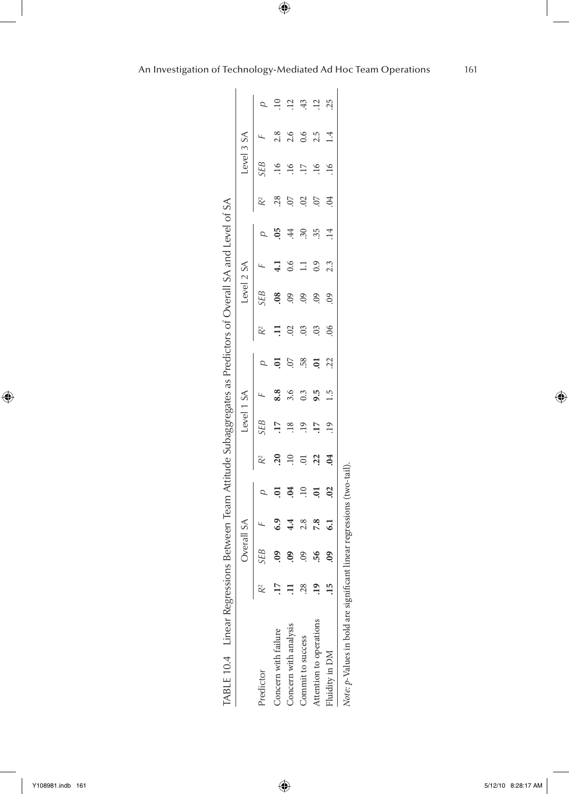|                         |    |                     | Overall SA      |                     |                |                 | evel 1 SA        |     |                | Level 2 SA          |     |              |                 | Level 3 SA      |           |                 |
|-------------------------|----|---------------------|-----------------|---------------------|----------------|-----------------|------------------|-----|----------------|---------------------|-----|--------------|-----------------|-----------------|-----------|-----------------|
| Predictor               | ř  | <b>SEB</b>          |                 |                     | R <sup>2</sup> | <b>SEB</b>      |                  |     |                | SЕB                 |     |              | ℀               | <b>SEB</b>      |           |                 |
| Concern with failure    |    | $\frac{1}{2}$       | 6.9             | ៑                   | $\overline{c}$ |                 | 8.8              |     |                | $\frac{8}{2}$       |     |              | 28.             | $\approx$       |           |                 |
| Concern with analysis   |    | $\ddot{\text{S}}$   |                 | $\ddot{\mathrm{c}}$ | ą              |                 | 3.6              |     | $\overline{0}$ | $\ddot{\mathrm{S}}$ |     | $\ddot{44}$  | 50.             | $\frac{6}{1}$   | 2.6       | $\overline{12}$ |
| Commit to success       | 28 |                     |                 | $\overline{10}$     |                | <u>۾</u>        | $0.\overline{3}$ | 58. | $\overline{0}$ | $\overline{6}$      |     | $\ddot{.}30$ | $\approx$       | $\overline{17}$ | 0.6       | 43              |
| Attention to operations |    | 56                  |                 | ຣຸ                  | $\overline{c}$ | $\overline{17}$ | 9.3              |     | $\overline{0}$ | $\ddot{\mathrm{S}}$ | 0.9 | 35           | 50.             | 16              |           | $\overline{12}$ |
| Fluidity in DM          |    | $\ddot{\mathrm{e}}$ | $\overline{61}$ | $\approx$           | $\overline{6}$ | $\overline{19}$ | 1.5              |     | 8 <sup>o</sup> | $\overline{0}$      | 2.3 |              | $\overline{04}$ | $\frac{6}{1}$   | $\vec{=}$ | 25              |

*p*-Values in bold are significant linear regressions (two-tail). ÷.

An Investigation of Technology-Mediated Ad Hoc Team Operations 161

 $\bigoplus$ 

 $\bigoplus$ 

 $\bigoplus$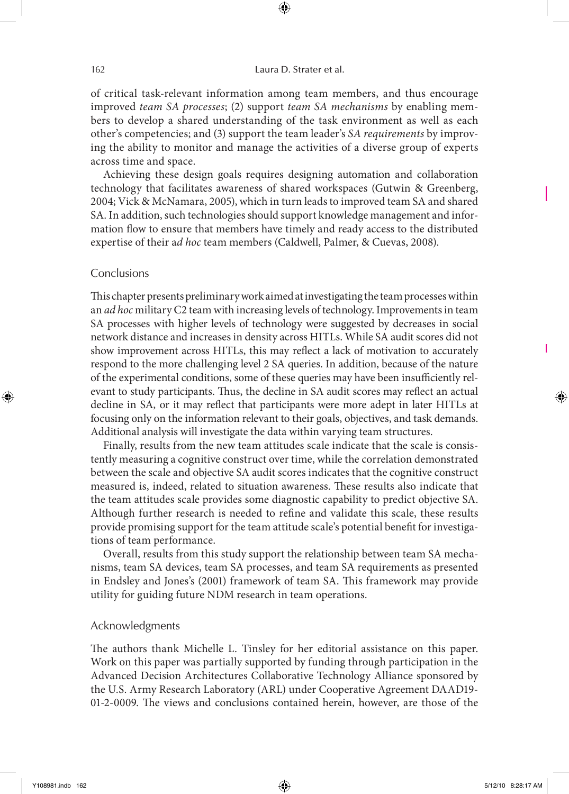of critical task-relevant information among team members, and thus encourage improved *team SA processes*; (2) support *team SA mechanisms* by enabling members to develop a shared understanding of the task environment as well as each other's competencies; and (3) support the team leader's *SA requirements* by improving the ability to monitor and manage the activities of a diverse group of experts across time and space.

⊕

Achieving these design goals requires designing automation and collaboration technology that facilitates awareness of shared workspaces (Gutwin & Greenberg, 2004; Vick & McNamara, 2005), which in turn leads to improved team SA and shared SA. In addition, such technologies should support knowledge management and information flow to ensure that members have timely and ready access to the distributed expertise of their a*d hoc* team members (Caldwell, Palmer, & Cuevas, 2008).

# **Conclusions**

This chapter presents preliminary work aimed at investigating the team processes within an *ad hoc* military C2 team with increasing levels of technology. Improvements in team SA processes with higher levels of technology were suggested by decreases in social network distance and increases in density across HITLs. While SA audit scores did not show improvement across HITLs, this may reflect a lack of motivation to accurately respond to the more challenging level 2 SA queries. In addition, because of the nature of the experimental conditions, some of these queries may have been insufficiently relevant to study participants. Thus, the decline in SA audit scores may reflect an actual decline in SA, or it may reflect that participants were more adept in later HITLs at focusing only on the information relevant to their goals, objectives, and task demands. Additional analysis will investigate the data within varying team structures.

Finally, results from the new team attitudes scale indicate that the scale is consistently measuring a cognitive construct over time, while the correlation demonstrated between the scale and objective SA audit scores indicates that the cognitive construct measured is, indeed, related to situation awareness. These results also indicate that the team attitudes scale provides some diagnostic capability to predict objective SA. Although further research is needed to refine and validate this scale, these results provide promising support for the team attitude scale's potential benefit for investigations of team performance.

Overall, results from this study support the relationship between team SA mechanisms, team SA devices, team SA processes, and team SA requirements as presented in Endsley and Jones's (2001) framework of team SA. This framework may provide utility for guiding future NDM research in team operations.

### Acknowledgments

The authors thank Michelle L. Tinsley for her editorial assistance on this paper. Work on this paper was partially supported by funding through participation in the Advanced Decision Architectures Collaborative Technology Alliance sponsored by the U.S. Army Research Laboratory (ARL) under Cooperative Agreement DAAD19- 01-2-0009. The views and conclusions contained herein, however, are those of the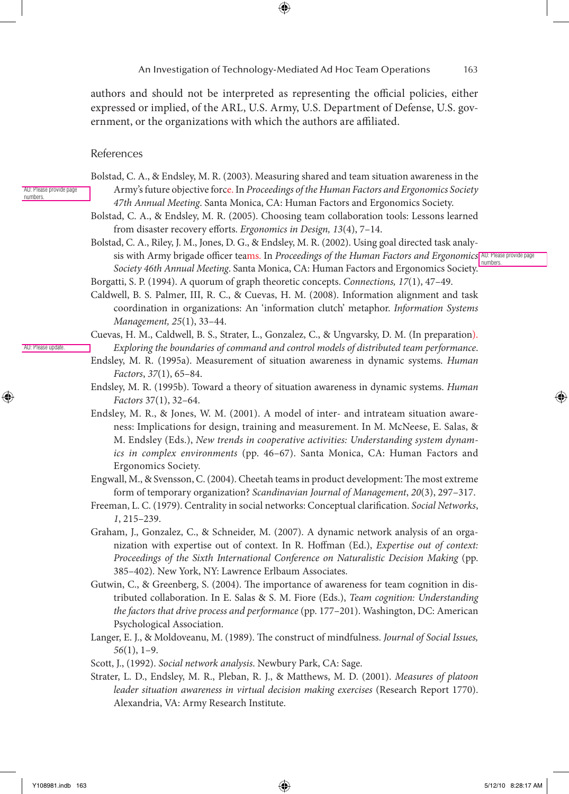authors and should not be interpreted as representing the official policies, either expressed or implied, of the ARL, U.S. Army, U.S. Department of Defense, U.S. government, or the organizations with which the authors are affiliated.

## References

AU: Please provide page numbers.

AU: Please update.

- Bolstad, C. A., & Endsley, M. R. (2003). Measuring shared and team situation awareness in the Army's future objective force. In *Proceedings of the Human Factors and Ergonomics Society 47th Annual Meeting*. Santa Monica, CA: Human Factors and Ergonomics Society.
- Bolstad, C. A., & Endsley, M. R. (2005). Choosing team collaboration tools: Lessons learned from disaster recovery efforts. *Ergonomics in Design, 13*(4), 7–14.
- Bolstad, C. A., Riley, J. M., Jones, D. G., & Endsley, M. R. (2002). Using goal directed task analysis with Army brigade officer teams. In *Proceedings of the Human Factors and Ergonomics* AU: Please provide page *Society 46th Annual Meeting*. Santa Monica, CA: Human Factors and Ergonomics Society. numbers.
- Borgatti, S. P. (1994). A quorum of graph theoretic concepts. *Connections, 17*(1), 47–49.
- Caldwell, B. S. Palmer, III, R. C., & Cuevas, H. M. (2008). Information alignment and task coordination in organizations: An 'information clutch' metaphor. *Information Systems Management, 25*(1), 33–44.
- Cuevas, H. M., Caldwell, B. S., Strater, L., Gonzalez, C., & Ungvarsky, D. M. (In preparation). *Exploring the boundaries of command and control models of distributed team performance*.
- Endsley, M. R. (1995a). Measurement of situation awareness in dynamic systems. *Human Factors*, *37*(1), 65–84.
- Endsley, M. R. (1995b). Toward a theory of situation awareness in dynamic systems. *Human Factors* 37(1), 32–64.
- Endsley, M. R., & Jones, W. M. (2001). A model of inter- and intrateam situation awareness: Implications for design, training and measurement. In M. McNeese, E. Salas, & M. Endsley (Eds.), *New trends in cooperative activities: Understanding system dynamics in complex environments* (pp. 46–67). Santa Monica, CA: Human Factors and Ergonomics Society.
- Engwall, M., & Svensson, C. (2004). Cheetah teams in product development: The most extreme form of temporary organization? *Scandinavian Journal of Management*, *20*(3), 297–317.
- Freeman, L. C. (1979). Centrality in social networks: Conceptual clarification. *Social Networks*, *1*, 215–239.
- Graham, J., Gonzalez, C., & Schneider, M. (2007). A dynamic network analysis of an organization with expertise out of context. In R. Hoffman (Ed.), *Expertise out of context: Proceedings of the Sixth International Conference on Naturalistic Decision Making* (pp. 385–402)*.* New York, NY: Lawrence Erlbaum Associates.
- Gutwin, C., & Greenberg, S. (2004). The importance of awareness for team cognition in distributed collaboration. In E. Salas & S. M. Fiore (Eds.), *Team cognition: Understanding the factors that drive process and performance* (pp. 177–201). Washington, DC: American Psychological Association.
- Langer, E. J., & Moldoveanu, M. (1989). The construct of mindfulness. *Journal of Social Issues, 56*(1), 1–9.
- Scott, J., (1992). *Social network analysis*. Newbury Park, CA: Sage.
- Strater, L. D., Endsley, M. R., Pleban, R. J., & Matthews, M. D. (2001). *Measures of platoon leader situation awareness in virtual decision making exercises* (Research Report 1770). Alexandria, VA: Army Research Institute.